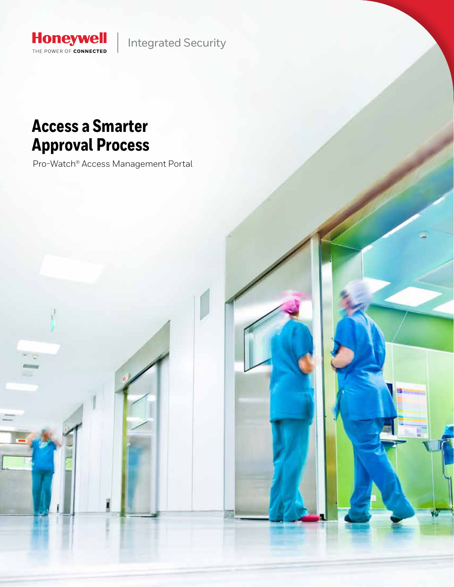

Integrated Security

## **Access a Smarter Approval Process**

Pro-Watch® Access Management Portal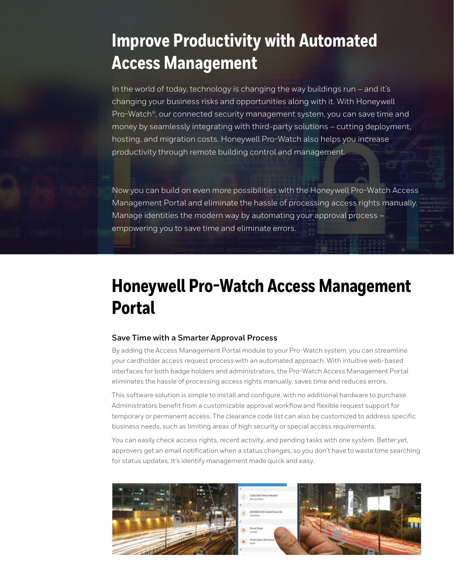## **Improve Productivity with Automated Access Management**

In the world of today, technology is changing the way buildings run – and it's changing your business risks and opportunities along with it. With Honeywell Pro-Watch®, our connected security management system, you can save time and money by seamlessly integrating with third-party solutions – cutting deployment, hosting, and migration costs. Honeywell Pro-Watch also helps you increase productivity through remote building control and management.

Now you can build on even more possibilities with the Honeywell Pro-Watch Access Management Portal and eliminate the hassle of processing access rights manually. Manage identities the modern way by automating your approval process – empowering you to save time and eliminate errors.

# **Honeywell Pro-Watch Access Management Portal**

#### **Save Time with a Smarter Approval Process**

By adding the Access Management Portal module to your Pro-Watch system, you can streamline your cardholder access request process with an automated approach. With intuitive web-based interfaces for both badge holders and administrators, the Pro-Watch Access Management Portal eliminates the hassle of processing access rights manually, saves time and reduces errors.

This software solution is simple to install and configure, with no additional hardware to purchase. Administrators benefit from a customizable approval workflow and flexible request support for temporary or permanent access. The clearance code list can also be customized to address specific business needs, such as limiting areas of high security or special access requirements.

You can easily check access rights, recent activity, and pending tasks with one system. Better yet, approvers get an email notification when a status changes, so you don't have to waste time searching for status updates. It's identify management made quick and easy.

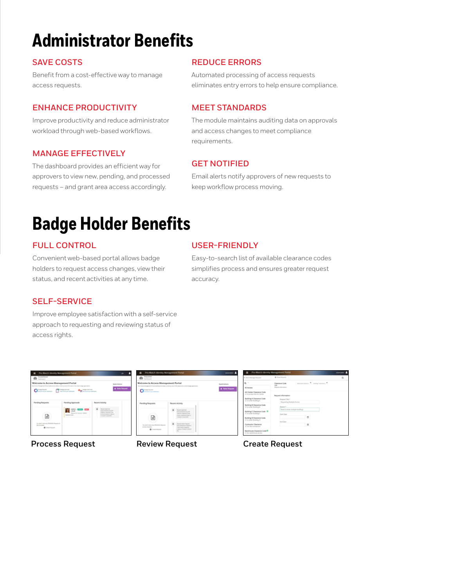# **Administrator Benefits**

#### **SAVE COSTS**

Benefit from a cost-effective way to manage access requests.

#### **ENHANCE PRODUCTIVITY**

Improve productivity and reduce administrator workload through web-based workflows.

#### **MANAGE EFFECTIVELY**

The dashboard provides an efficient way for approvers to view new, pending, and processed requests – and grant area access accordingly.

#### **REDUCE ERRORS**

Automated processing of access requests eliminates entry errors to help ensure compliance.

#### **MEET STANDARDS**

The module maintains auditing data on approvals and access changes to meet compliance requirements.

### **GET NOTIFIED**

Email alerts notify approvers of new requests to keep workflow process moving.

## **Badge Holder Benefits**

### **FULL CONTROL**

Convenient web-based portal allows badge holders to request access changes, view their status, and recent activities at any time.

#### **USER-FRIENDLY**

Easy-to-search list of available clearance codes simplifies process and ensures greater request accuracy.

### **SELF-SERVICE**

Improve employee satisfaction with a self-service approach to requesting and reviewing status of access rights.



**Process Request Review Request Create Request**